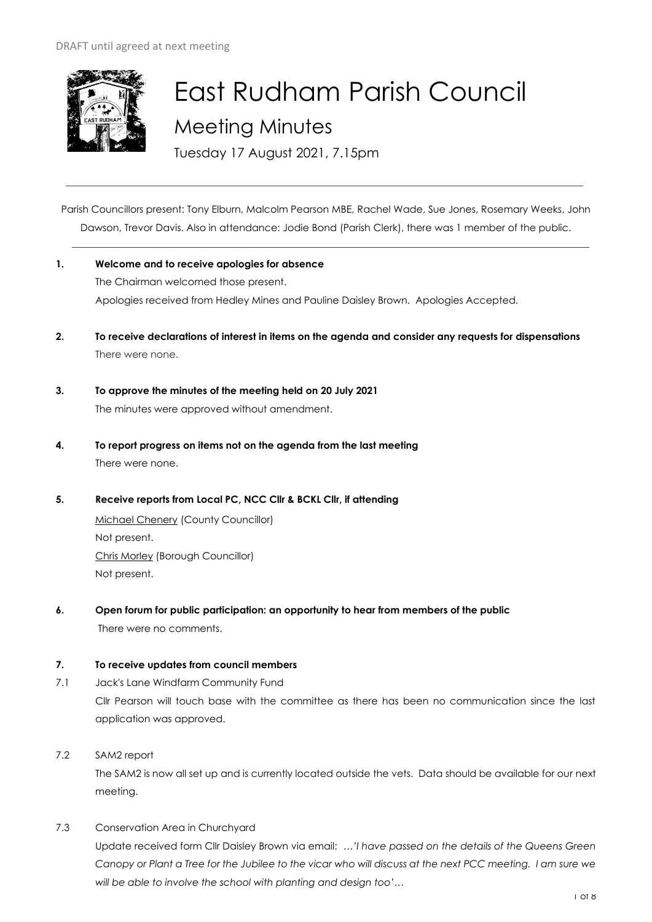

# East Rudham Parish Council Meeting Minutes

Tuesday 17 August 2021, 7.15pm

Parish Councillors present: Tony Elburn, Malcolm Pearson MBE, Rachel Wade, Sue Jones, Rosemary Weeks, John Dawson, Trevor Davis. Also in attendance: Jodie Bond (Parish Clerk), there was 1 member of the public.

- **1. Welcome and to receive apologies for absence** The Chairman welcomed those present. Apologies received from Hedley Mines and Pauline Daisley Brown. Apologies Accepted.
- **2. To receive declarations of interest in items on the agenda and consider any requests for dispensations**  There were none.
- **3. To approve the minutes of the meeting held on 20 July 2021**  The minutes were approved without amendment.
- **4. To report progress on items not on the agenda from the last meeting**  There were none.
- **5. Receive reports from Local PC, NCC Cllr & BCKL Cllr, if attending**

Michael Chenery (County Councillor) Not present. Chris Morley (Borough Councillor) Not present.

**6. Open forum for public participation: an opportunity to hear from members of the public** There were no comments.

# **7. To receive updates from council members**

- 7.1 Jack's Lane Windfarm Community Fund Cllr Pearson will touch base with the committee as there has been no communication since the last application was approved.
- 7.2 SAM2 report

The SAM2 is now all set up and is currently located outside the vets. Data should be available for our next meeting.

7.3 Conservation Area in Churchyard

Update received form Cllr Daisley Brown via email: …*'I have passed on the details of the Queens Green Canopy or Plant a Tree for the Jubilee to the vicar who will discuss at the next PCC meeting. I am sure we will be able to involve the school with planting and design too'…*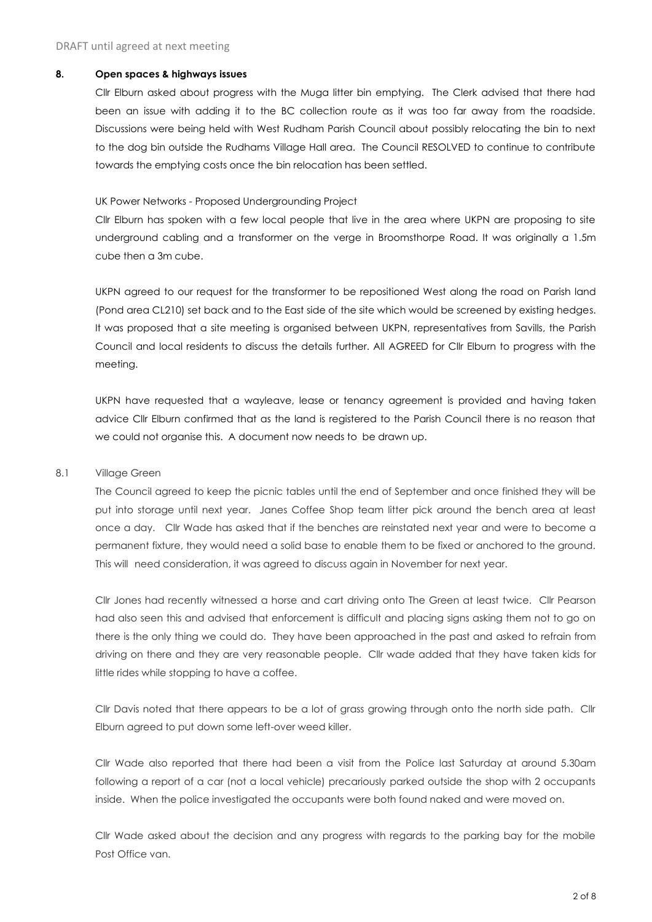#### **8. Open spaces & highways issues**

Cllr Elburn asked about progress with the Muga litter bin emptying. The Clerk advised that there had been an issue with adding it to the BC collection route as it was too far away from the roadside. Discussions were being held with West Rudham Parish Council about possibly relocating the bin to next to the dog bin outside the Rudhams Village Hall area. The Council RESOLVED to continue to contribute towards the emptying costs once the bin relocation has been settled.

#### UK Power Networks - Proposed Undergrounding Project

Cllr Elburn has spoken with a few local people that live in the area where UKPN are proposing to site underground cabling and a transformer on the verge in Broomsthorpe Road. It was originally a 1.5m cube then a 3m cube.

UKPN agreed to our request for the transformer to be repositioned West along the road on Parish land (Pond area CL210) set back and to the East side of the site which would be screened by existing hedges. It was proposed that a site meeting is organised between UKPN, representatives from Savills, the Parish Council and local residents to discuss the details further. All AGREED for Cllr Elburn to progress with the meeting.

UKPN have requested that a wayleave, lease or tenancy agreement is provided and having taken advice Cllr Elburn confirmed that as the land is registered to the Parish Council there is no reason that we could not organise this. A document now needs to be drawn up.

#### 8.1 Village Green

The Council agreed to keep the picnic tables until the end of September and once finished they will be put into storage until next year. Janes Coffee Shop team litter pick around the bench area at least once a day. Cllr Wade has asked that if the benches are reinstated next year and were to become a permanent fixture, they would need a solid base to enable them to be fixed or anchored to the ground. This will need consideration, it was agreed to discuss again in November for next year.

Cllr Jones had recently witnessed a horse and cart driving onto The Green at least twice. Cllr Pearson had also seen this and advised that enforcement is difficult and placing signs asking them not to go on there is the only thing we could do. They have been approached in the past and asked to refrain from driving on there and they are very reasonable people. Cllr wade added that they have taken kids for little rides while stopping to have a coffee.

Cllr Davis noted that there appears to be a lot of grass growing through onto the north side path. Cllr Elburn agreed to put down some left-over weed killer.

Cllr Wade also reported that there had been a visit from the Police last Saturday at around 5.30am following a report of a car (not a local vehicle) precariously parked outside the shop with 2 occupants inside. When the police investigated the occupants were both found naked and were moved on.

Cllr Wade asked about the decision and any progress with regards to the parking bay for the mobile Post Office van.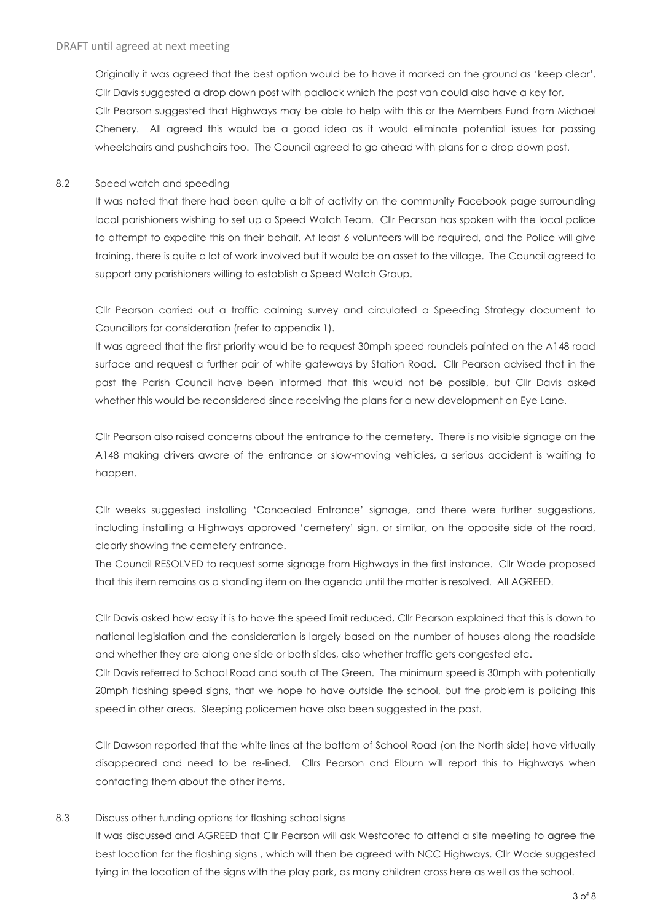Originally it was agreed that the best option would be to have it marked on the ground as 'keep clear'. Cllr Davis suggested a drop down post with padlock which the post van could also have a key for. Cllr Pearson suggested that Highways may be able to help with this or the Members Fund from Michael Chenery. All agreed this would be a good idea as it would eliminate potential issues for passing wheelchairs and pushchairs too. The Council agreed to go ahead with plans for a drop down post.

#### 8.2 Speed watch and speeding

It was noted that there had been quite a bit of activity on the community Facebook page surrounding local parishioners wishing to set up a Speed Watch Team. Cllr Pearson has spoken with the local police to attempt to expedite this on their behalf. At least 6 volunteers will be required, and the Police will give training, there is quite a lot of work involved but it would be an asset to the village. The Council agreed to support any parishioners willing to establish a Speed Watch Group.

Cllr Pearson carried out a traffic calming survey and circulated a Speeding Strategy document to Councillors for consideration (refer to appendix 1).

It was agreed that the first priority would be to request 30mph speed roundels painted on the A148 road surface and request a further pair of white gateways by Station Road. Cllr Pearson advised that in the past the Parish Council have been informed that this would not be possible, but Cllr Davis asked whether this would be reconsidered since receiving the plans for a new development on Eye Lane.

Cllr Pearson also raised concerns about the entrance to the cemetery. There is no visible signage on the A148 making drivers aware of the entrance or slow-moving vehicles, a serious accident is waiting to happen.

Cllr weeks suggested installing 'Concealed Entrance' signage, and there were further suggestions, including installing a Highways approved 'cemetery' sign, or similar, on the opposite side of the road, clearly showing the cemetery entrance.

The Council RESOLVED to request some signage from Highways in the first instance. Cllr Wade proposed that this item remains as a standing item on the agenda until the matter is resolved. All AGREED.

Cllr Davis asked how easy it is to have the speed limit reduced, Cllr Pearson explained that this is down to national legislation and the consideration is largely based on the number of houses along the roadside and whether they are along one side or both sides, also whether traffic gets congested etc.

Cllr Davis referred to School Road and south of The Green. The minimum speed is 30mph with potentially 20mph flashing speed signs, that we hope to have outside the school, but the problem is policing this speed in other areas. Sleeping policemen have also been suggested in the past.

Cllr Dawson reported that the white lines at the bottom of School Road (on the North side) have virtually disappeared and need to be re-lined. Cllrs Pearson and Elburn will report this to Highways when contacting them about the other items.

# 8.3 Discuss other funding options for flashing school signs

It was discussed and AGREED that Cllr Pearson will ask Westcotec to attend a site meeting to agree the best location for the flashing signs , which will then be agreed with NCC Highways. Cllr Wade suggested tying in the location of the signs with the play park, as many children cross here as well as the school.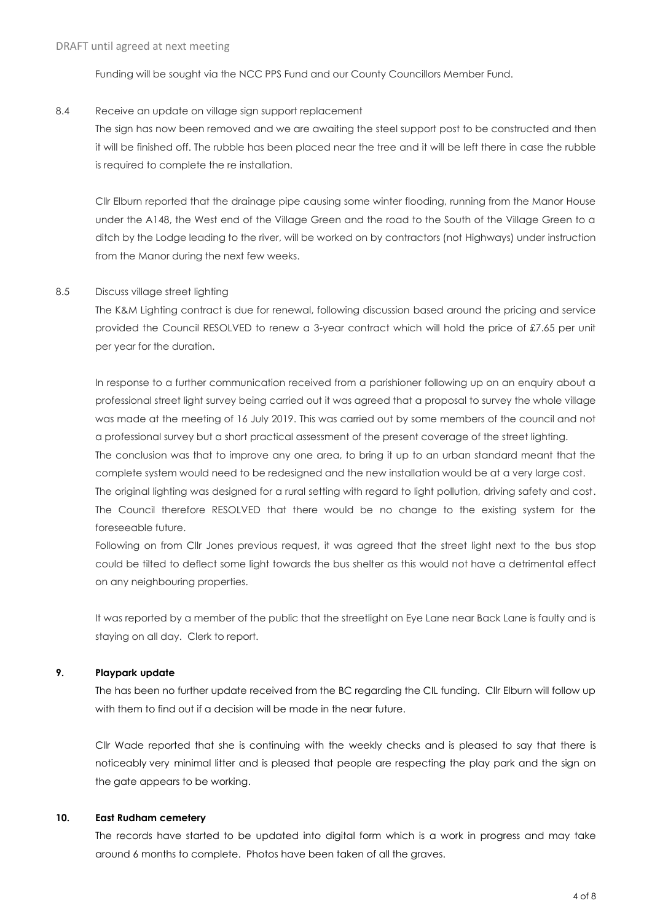Funding will be sought via the NCC PPS Fund and our County Councillors Member Fund.

#### 8.4 Receive an update on village sign support replacement

The sign has now been removed and we are awaiting the steel support post to be constructed and then it will be finished off. The rubble has been placed near the tree and it will be left there in case the rubble is required to complete the re installation.

Cllr Elburn reported that the drainage pipe causing some winter flooding, running from the Manor House under the A148, the West end of the Village Green and the road to the South of the Village Green to a ditch by the Lodge leading to the river, will be worked on by contractors (not Highways) under instruction from the Manor during the next few weeks.

#### 8.5 Discuss village street lighting

The K&M Lighting contract is due for renewal, following discussion based around the pricing and service provided the Council RESOLVED to renew a 3-year contract which will hold the price of £7.65 per unit per year for the duration.

In response to a further communication received from a parishioner following up on an enquiry about a professional street light survey being carried out it was agreed that a proposal to survey the whole village was made at the meeting of 16 July 2019. This was carried out by some members of the council and not a professional survey but a short practical assessment of the present coverage of the street lighting. The conclusion was that to improve any one area, to bring it up to an urban standard meant that the complete system would need to be redesigned and the new installation would be at a very large cost. The original lighting was designed for a rural setting with regard to light pollution, driving safety and cost. The Council therefore RESOLVED that there would be no change to the existing system for the foreseeable future.

Following on from Cllr Jones previous request, it was agreed that the street light next to the bus stop could be tilted to deflect some light towards the bus shelter as this would not have a detrimental effect on any neighbouring properties.

It was reported by a member of the public that the streetlight on Eye Lane near Back Lane is faulty and is staying on all day. Clerk to report.

# **9. Playpark update**

The has been no further update received from the BC regarding the CIL funding. Cllr Elburn will follow up with them to find out if a decision will be made in the near future.

Cllr Wade reported that she is continuing with the weekly checks and is pleased to say that there is noticeably very minimal litter and is pleased that people are respecting the play park and the sign on the gate appears to be working.

# **10. East Rudham cemetery**

The records have started to be updated into digital form which is a work in progress and may take around 6 months to complete. Photos have been taken of all the graves.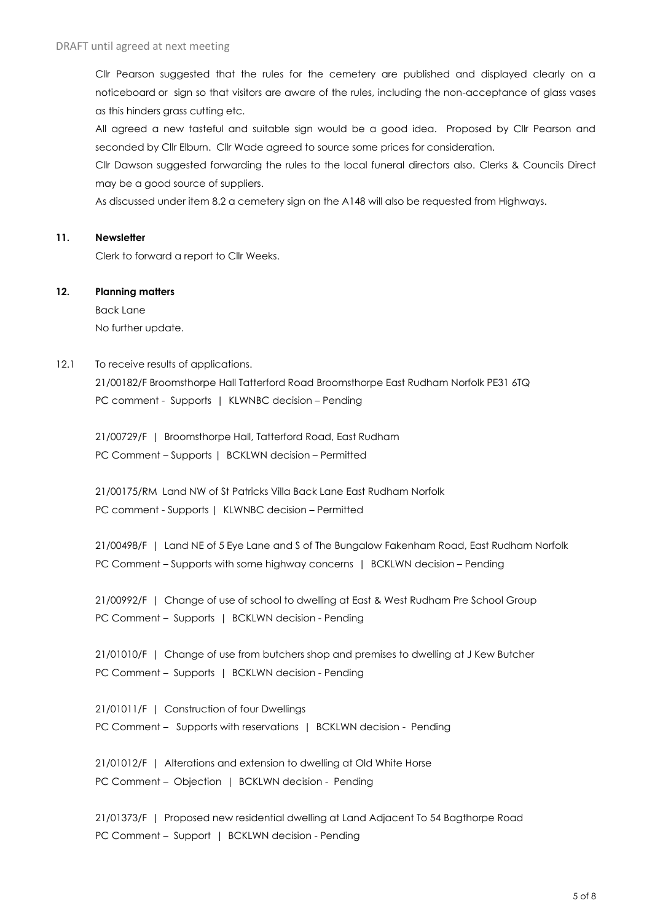Cllr Pearson suggested that the rules for the cemetery are published and displayed clearly on a noticeboard or sign so that visitors are aware of the rules, including the non-acceptance of glass vases as this hinders grass cutting etc.

All agreed a new tasteful and suitable sign would be a good idea. Proposed by Cllr Pearson and seconded by Cllr Elburn. Cllr Wade agreed to source some prices for consideration.

Cllr Dawson suggested forwarding the rules to the local funeral directors also. Clerks & Councils Direct may be a good source of suppliers.

As discussed under item 8.2 a cemetery sign on the A148 will also be requested from Highways.

#### **11. Newsletter**

Clerk to forward a report to Cllr Weeks.

#### **12. Planning matters**

Back Lane No further update.

#### 12.1 To receive results of applications.

21/00182/F Broomsthorpe Hall Tatterford Road Broomsthorpe East Rudham Norfolk PE31 6TQ PC comment - Supports | KLWNBC decision - Pending

21/00729/F | Broomsthorpe Hall, Tatterford Road, East Rudham PC Comment – Supports | BCKLWN decision – Permitted

21/00175/RM Land NW of St Patricks Villa Back Lane East Rudham Norfolk PC comment - Supports | KLWNBC decision – Permitted

21/00498/F | Land NE of 5 Eye Lane and S of The Bungalow Fakenham Road, East Rudham Norfolk PC Comment – Supports with some highway concerns | BCKLWN decision – Pending

21/00992/F | Change of use of school to dwelling at East & West Rudham Pre School Group PC Comment - Supports | BCKLWN decision - Pending

21/01010/F | Change of use from butchers shop and premises to dwelling at J Kew Butcher PC Comment - Supports | BCKLWN decision - Pending

21/01011/F | Construction of four Dwellings PC Comment - Supports with reservations | BCKLWN decision - Pending

21/01012/F | Alterations and extension to dwelling at Old White Horse PC Comment - Objection | BCKLWN decision - Pending

21/01373/F | Proposed new residential dwelling at Land Adjacent To 54 Bagthorpe Road PC Comment – Support | BCKLWN decision - Pending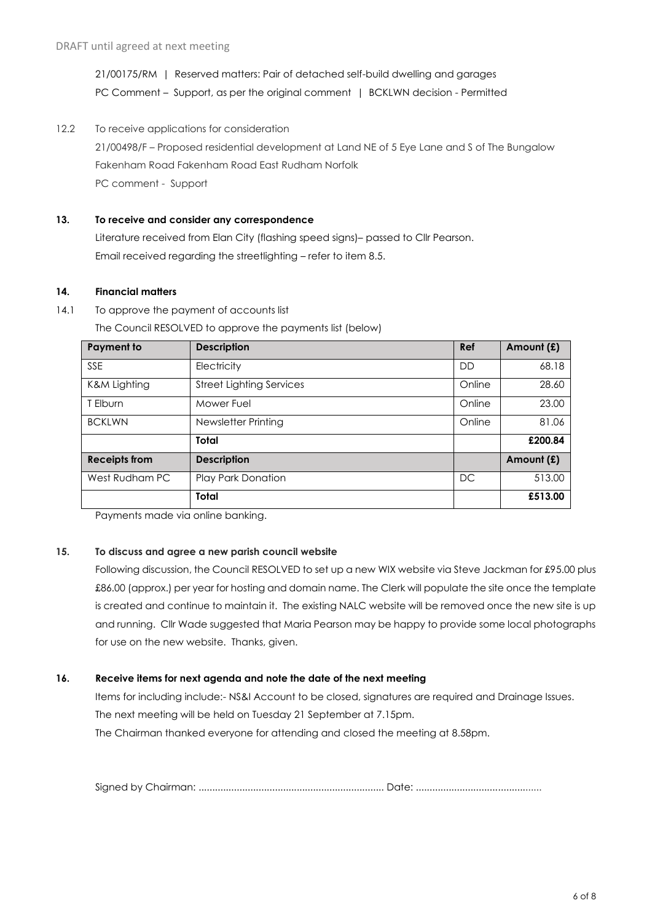21/00175/RM | Reserved matters: Pair of detached self-build dwelling and garages PC Comment – Support, as per the original comment | BCKLWN decision - Permitted

12.2 To receive applications for consideration 21/00498/F – Proposed residential development at Land NE of 5 Eye Lane and S of The Bungalow Fakenham Road Fakenham Road East Rudham Norfolk PC comment - Support

# **13. To receive and consider any correspondence**

Literature received from Elan City (flashing speed signs)– passed to Cllr Pearson. Email received regarding the streetlighting – refer to item 8.5.

#### **14. Financial matters**

14.1 To approve the payment of accounts list

**Payment to Description Ref Amount (£)** SSE SERIES Electricity the series of the series of the series of the series of the series of the series of the s K&M Lighting Street Lighting Services Conditional Conline 28.60 T Elburn Mower Fuel Online 23.00 BCKLWN Newsletter Printing Contact Text Conline 81.06 **Total £200.84 Receipts from Description Description Amount (£)** West Rudham PC Play Park Donation DC DC 513.00 **Total £513.00**

The Council RESOLVED to approve the payments list (below)

Payments made via online banking.

# **15. To discuss and agree a new parish council website**

Following discussion, the Council RESOLVED to set up a new WIX website via Steve Jackman for £95.00 plus £86.00 (approx.) per year for hosting and domain name. The Clerk will populate the site once the template is created and continue to maintain it. The existing NALC website will be removed once the new site is up and running. Cllr Wade suggested that Maria Pearson may be happy to provide some local photographs for use on the new website. Thanks, given.

# **16. Receive items for next agenda and note the date of the next meeting**

Items for including include:- NS&I Account to be closed, signatures are required and Drainage Issues. The next meeting will be held on Tuesday 21 September at 7.15pm. The Chairman thanked everyone for attending and closed the meeting at 8.58pm.

Signed by Chairman: .................................................................... Date: ..............................................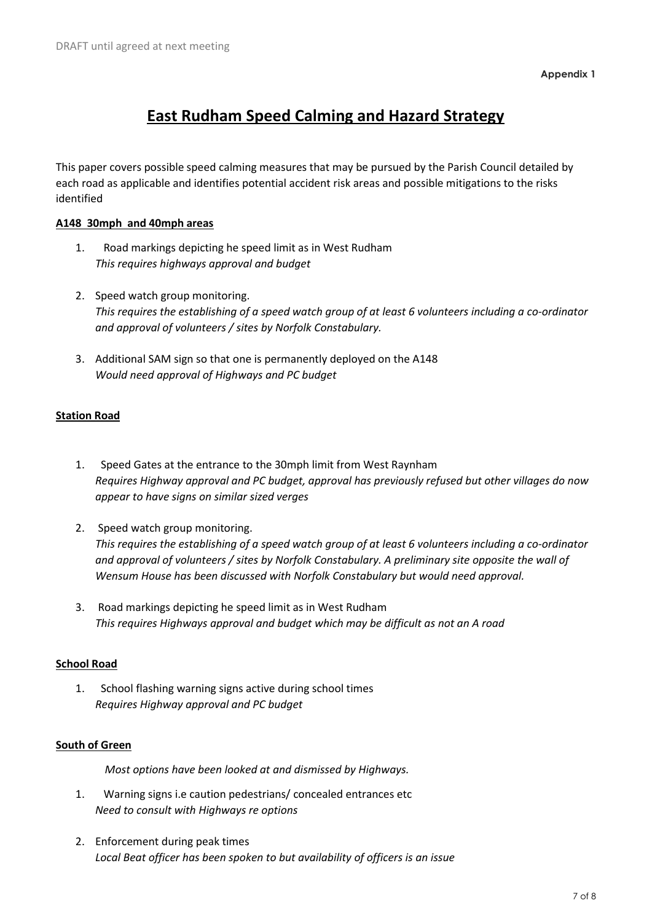# **East Rudham Speed Calming and Hazard Strategy**

This paper covers possible speed calming measures that may be pursued by the Parish Council detailed by each road as applicable and identifies potential accident risk areas and possible mitigations to the risks identified

# **A148 30mph and 40mph areas**

- 1. Road markings depicting he speed limit as in West Rudham *This requires highways approval and budget*
- 2. Speed watch group monitoring. *This requires the establishing of a speed watch group of at least 6 volunteers including a co-ordinator and approval of volunteers / sites by Norfolk Constabulary.*
- 3. Additional SAM sign so that one is permanently deployed on the A148 *Would need approval of Highways and PC budget*

# **Station Road**

- 1. Speed Gates at the entrance to the 30mph limit from West Raynham *Requires Highway approval and PC budget, approval has previously refused but other villages do now appear to have signs on similar sized verges*
- 2. Speed watch group monitoring. *This requires the establishing of a speed watch group of at least 6 volunteers including a co-ordinator and approval of volunteers / sites by Norfolk Constabulary. A preliminary site opposite the wall of Wensum House has been discussed with Norfolk Constabulary but would need approval.*
- 3. Road markings depicting he speed limit as in West Rudham *This requires Highways approval and budget which may be difficult as not an A road*

# **School Road**

1. School flashing warning signs active during school times *Requires Highway approval and PC budget*

# **South of Green**

 *Most options have been looked at and dismissed by Highways.*

- 1. Warning signs i.e caution pedestrians/ concealed entrances etc *Need to consult with Highways re options*
- 2. Enforcement during peak times *Local Beat officer has been spoken to but availability of officers is an issue*